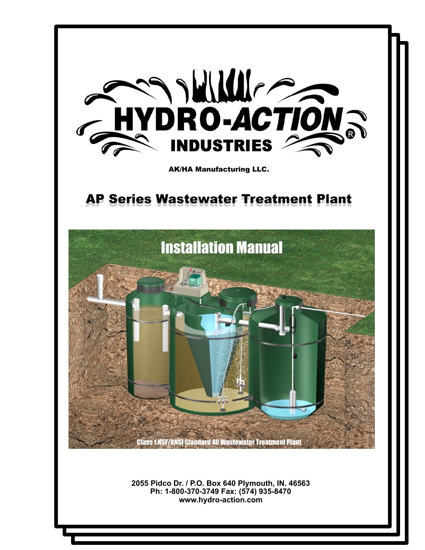

**2055 Pidco Dr. / P.O. Box 640 Plymouth, IN. 46563 Ph: 1-800-370-3749 Fax: (574) 935-8470 www.hydro-action.com**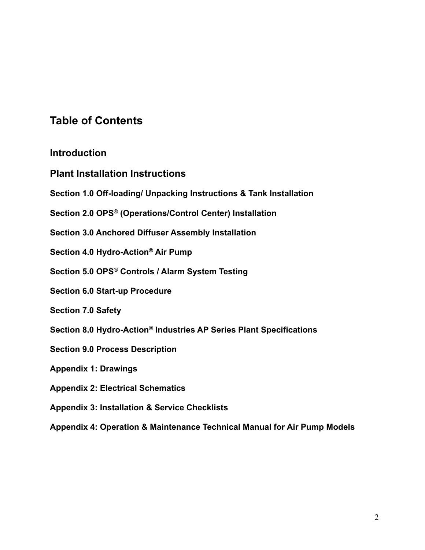## **Table of Contents**

## **Introduction**

- **Plant Installation Instructions**
- **Section 1.0 Off-loading/ Unpacking Instructions & Tank Installation**
- **Section 2.0 OPS**® **(Operations/Control Center) Installation**
- **Section 3.0 Anchored Diffuser Assembly Installation**
- **Section 4.0 Hydro-Action® Air Pump**
- **Section 5.0 OPS**® **Controls / Alarm System Testing**
- **Section 6.0 Start-up Procedure**
- **Section 7.0 Safety**
- **Section 8.0 Hydro-Action® Industries AP Series Plant Specifications**
- **Section 9.0 Process Description**
- **Appendix 1: Drawings**
- **Appendix 2: Electrical Schematics**
- **Appendix 3: Installation & Service Checklists**
- **Appendix 4: Operation & Maintenance Technical Manual for Air Pump Models**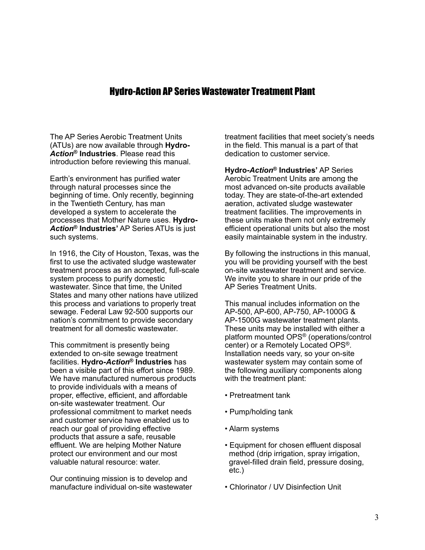## Hydro-Action AP Series Wastewater Treatment Plant

The AP Series Aerobic Treatment Units (ATUs) are now available through **Hydro-***Action***® Industries**. Please read this introduction before reviewing this manual.

Earth's environment has purified water through natural processes since the beginning of time. Only recently, beginning in the Twentieth Century, has man developed a system to accelerate the processes that Mother Nature uses. **Hydro-***Action***® Industries'** AP Series ATUs is just such systems.

In 1916, the City of Houston, Texas, was the first to use the activated sludge wastewater treatment process as an accepted, full-scale system process to purify domestic wastewater. Since that time, the United States and many other nations have utilized this process and variations to properly treat sewage. Federal Law 92-500 supports our nation's commitment to provide secondary treatment for all domestic wastewater.

This commitment is presently being extended to on-site sewage treatment facilities. **Hydro-***Action***® Industries** has been a visible part of this effort since 1989. We have manufactured numerous products to provide individuals with a means of proper, effective, efficient, and affordable on-site wastewater treatment. Our professional commitment to market needs and customer service have enabled us to reach our goal of providing effective products that assure a safe, reusable effluent. We are helping Mother Nature protect our environment and our most valuable natural resource: water.

Our continuing mission is to develop and manufacture individual on-site wastewater treatment facilities that meet society's needs in the field. This manual is a part of that dedication to customer service.

**Hydro-***Action***® Industries'** AP Series Aerobic Treatment Units are among the most advanced on-site products available today. They are state-of-the-art extended aeration, activated sludge wastewater treatment facilities. The improvements in these units make them not only extremely efficient operational units but also the most easily maintainable system in the industry.

By following the instructions in this manual, you will be providing yourself with the best on-site wastewater treatment and service. We invite you to share in our pride of the AP Series Treatment Units.

This manual includes information on the AP-500, AP-600, AP-750, AP-1000G & AP-1500G wastewater treatment plants. These units may be installed with either a platform mounted OPS® (operations/control center) or a Remotely Located OPS®. Installation needs vary, so your on-site wastewater system may contain some of the following auxiliary components along with the treatment plant:

- Pretreatment tank
- Pump/holding tank
- Alarm systems
- Equipment for chosen effluent disposal method (drip irrigation, spray irrigation, gravel-filled drain field, pressure dosing, etc.)
- Chlorinator / UV Disinfection Unit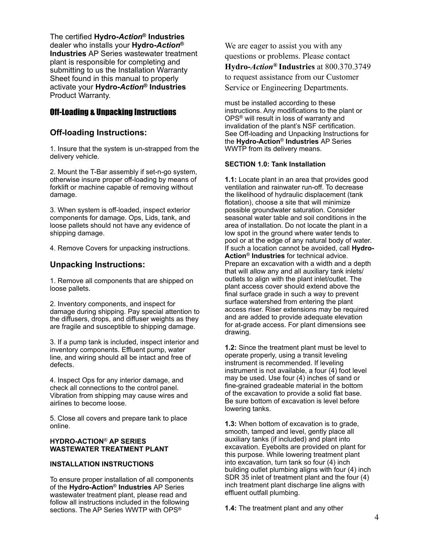The certified **Hydro-***Action***® Industries**  dealer who installs your **Hydro-***Action***® Industries** AP Series wastewater treatment plant is responsible for completing and submitting to us the Installation Warranty Sheet found in this manual to properly activate your **Hydro-***Action***® Industries**  Product Warranty.

## Off-Loading & Unpacking Instructions

### **Off-loading Instructions:**

1. Insure that the system is un-strapped from the delivery vehicle.

2. Mount the T-Bar assembly if set-n-go system, otherwise insure proper off-loading by means of forklift or machine capable of removing without damage.

3. When system is off-loaded, inspect exterior components for damage. Ops, Lids, tank, and loose pallets should not have any evidence of shipping damage.

4. Remove Covers for unpacking instructions.

### **Unpacking Instructions:**

1. Remove all components that are shipped on loose pallets.

2. Inventory components, and inspect for damage during shipping. Pay special attention to the diffusers, drops, and diffuser weights as they are fragile and susceptible to shipping damage.

3. If a pump tank is included, inspect interior and inventory components. Effluent pump, water line, and wiring should all be intact and free of defects.

4. Inspect Ops for any interior damage, and check all connections to the control panel. Vibration from shipping may cause wires and airlines to become loose.

5. Close all covers and prepare tank to place online.

#### **HYDRO-ACTION**® **AP SERIES WASTEWATER TREATMENT PLANT**

#### **INSTALLATION INSTRUCTIONS**

To ensure proper installation of all components of the **Hydro-Action**® **Industries** AP Series wastewater treatment plant, please read and follow all instructions included in the following sections. The AP Series WWTP with OPS®

We are eager to assist you with any questions or problems. Please contact **Hydro-***Action***® Industries** at 800.370.3749 to request assistance from our Customer Service or Engineering Departments.

must be installed according to these instructions. Any modifications to the plant or OPS® will result in loss of warranty and invalidation of the plant's NSF certification. See Off-loading and Unpacking Instructions for the **Hydro-Action**® **Industries** AP Series WWTP from its delivery means.

### **SECTION 1.0: Tank Installation**

**1.1:** Locate plant in an area that provides good ventilation and rainwater run-off. To decrease the likelihood of hydraulic displacement (tank flotation), choose a site that will minimize possible groundwater saturation. Consider seasonal water table and soil conditions in the area of installation. Do not locate the plant in a low spot in the ground where water tends to pool or at the edge of any natural body of water. If such a location cannot be avoided, call **Hydro-Action**® **Industries** for technical advice. Prepare an excavation with a width and a depth that will allow any and all auxiliary tank inlets/ outlets to align with the plant inlet/outlet. The plant access cover should extend above the final surface grade in such a way to prevent surface watershed from entering the plant access riser. Riser extensions may be required and are added to provide adequate elevation for at-grade access. For plant dimensions see drawing.

**1.2:** Since the treatment plant must be level to operate properly, using a transit leveling instrument is recommended. If leveling instrument is not available, a four (4) foot level may be used. Use four (4) inches of sand or fine-grained gradeable material in the bottom of the excavation to provide a solid flat base. Be sure bottom of excavation is level before lowering tanks.

**1.3:** When bottom of excavation is to grade, smooth, tamped and level, gently place all auxiliary tanks (if included) and plant into excavation. Eyebolts are provided on plant for this purpose. While lowering treatment plant into excavation, turn tank so four (4) inch building outlet plumbing aligns with four (4) inch SDR 35 inlet of treatment plant and the four (4) inch treatment plant discharge line aligns with effluent outfall plumbing.

**1.4:** The treatment plant and any other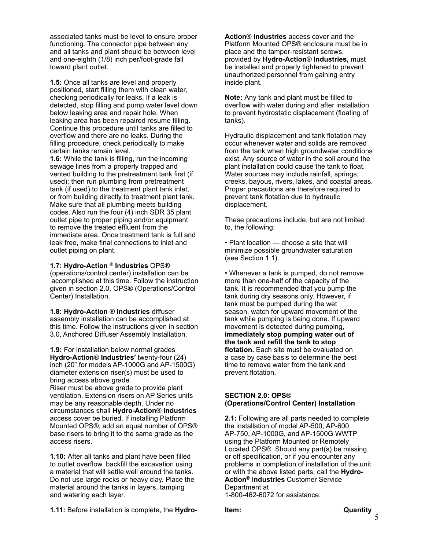associated tanks must be level to ensure proper functioning. The connector pipe between any and all tanks and plant should be between level and one-eighth (1/8) inch per/foot-grade fall toward plant outlet.

**1.5:** Once all tanks are level and properly positioned, start filling them with clean water, checking periodically for leaks. If a leak is detected, stop filling and pump water level down below leaking area and repair hole. When leaking area has been repaired resume filling. Continue this procedure until tanks are filled to overflow and there are no leaks. During the filling procedure, check periodically to make certain tanks remain level.

**1.6:** While the tank is filling, run the incoming sewage lines from a properly trapped and vented building to the pretreatment tank first (if used); then run plumbing from pretreatment tank (if used) to the treatment plant tank inlet, or from building directly to treatment plant tank. Make sure that all plumbing meets building codes. Also run the four (4) inch SDR 35 plant outlet pipe to proper piping and/or equipment to remove the treated effluent from the immediate area. Once treatment tank is full and leak free, make final connections to inlet and outlet piping on plant.

#### **1.7: Hydro-Action** ® **Industries** OPS®

(operations/control center) installation can be accomplished at this time. Follow the instruction given in section 2.0, OPS® (Operations/Control Center) Installation.

**1.8: Hydro-Action** ® **Industries** diffuser assembly installation can be accomplished at this time. Follow the instructions given in section 3.0, Anchored Diffuser Assembly Installation.

**1.9:** For installation below normal grades **Hydro-Action**® **Industries'** twenty-four (24) inch (20" for models AP-1000G and AP-1500G) diameter extension riser(s) must be used to bring access above grade.

Riser must be above grade to provide plant ventilation. Extension risers on AP Series units may be any reasonable depth. Under no circumstances shall **Hydro-Action**® **Industries** access cover be buried. If installing Platform Mounted OPS®, add an equal number of OPS® base risers to bring it to the same grade as the access risers.

**1.10:** After all tanks and plant have been filled to outlet overflow, backfill the excavation using a material that will settle well around the tanks. Do not use large rocks or heavy clay. Place the material around the tanks in layers, tamping and watering each layer.

**1.11:** Before installation is complete, the **Hydro-**

**Action**® **Industries** access cover and the Platform Mounted OPS® enclosure must be in place and the tamper-resistant screws, provided by **Hydro-Action**® **Industries,** must be installed and properly tightened to prevent unauthorized personnel from gaining entry inside plant.

**Note:** Any tank and plant must be filled to overflow with water during and after installation to prevent hydrostatic displacement (floating of tanks).

Hydraulic displacement and tank flotation may occur whenever water and solids are removed from the tank when high groundwater conditions exist. Any source of water in the soil around the plant installation could cause the tank to float. Water sources may include rainfall, springs, creeks, bayous, rivers, lakes, and coastal areas. Proper precautions are therefore required to prevent tank flotation due to hydraulic displacement.

These precautions include, but are not limited to, the following:

• Plant location — choose a site that will minimize possible groundwater saturation (see Section 1.1).

• Whenever a tank is pumped, do not remove more than one-half of the capacity of the tank. It is recommended that you pump the tank during dry seasons only. However, if tank must be pumped during the wet season, watch for upward movement of the tank while pumping is being done. If upward movement is detected during pumping, **immediately stop pumping water out of the tank and refill the tank to stop flotation.** Each site must be evaluated on a case by case basis to determine the best time to remove water from the tank and prevent flotation.

#### **SECTION 2.0: OPS**® **(Operations/Control Center) Installation**

**2.1:** Following are all parts needed to complete the installation of model AP-500, AP-600, AP-750, AP-1000G, and AP-1500G WWTP using the Platform Mounted or Remotely Located OPS®. Should any part(s) be missing or off specification, or if you encounter any problems in completion of installation of the unit or with the above listed parts, call the **Hydro-Action**® I**ndustries** Customer Service Department at 1-800-462-6072 for assistance.

**Item: Quantity**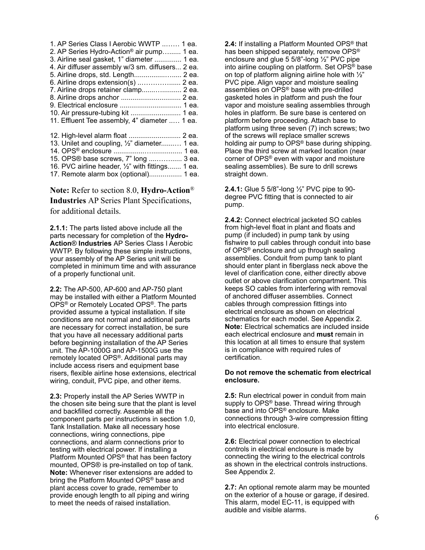| 1. AP Series Class I Aerobic WWTP  1 ea.              |  |
|-------------------------------------------------------|--|
| 2. AP Series Hydro-Action <sup>®</sup> air pump 1 ea. |  |
| 3. Airline seal gasket, 1" diameter  1 ea.            |  |
| 4. Air diffuser assembly w/3 sm. diffusers 2 ea.      |  |
| 5. Airline drops, std. Length 2 ea.                   |  |
| 6. Airline drops extension(s)  2 ea.                  |  |
| 7. Airline drops retainer clamp 2 ea.                 |  |
|                                                       |  |
|                                                       |  |
| 10. Air pressure-tubing kit  1 ea.                    |  |
| 11. Effluent Tee assembly, 4" diameter  1 ea.         |  |
|                                                       |  |

| 12. High-level alarm float  2 ea.                |  |
|--------------------------------------------------|--|
| 13. Unilet and coupling, 1/2" diameter 1 ea.     |  |
|                                                  |  |
| 15. OPS® base screws, 7" long  3 ea.             |  |
| 16. PVC airline header, 1/2" with fittings 1 ea. |  |
| 17. Remote alarm box (optional) 1 ea.            |  |

**Note:** Refer to section 8.0, **Hydro-Action**® **Industries** AP Series Plant Specifications, for additional details.

**2.1.1:** The parts listed above include all the parts necessary for completion of the **Hydro-Action**® **Industries** AP Series Class I Aerobic WWTP. By following these simple instructions, your assembly of the AP Series unit will be completed in minimum time and with assurance of a properly functional unit.

**2.2:** The AP-500, AP-600 and AP-750 plant may be installed with either a Platform Mounted OPS® or Remotely Located OPS®. The parts provided assume a typical installation. If site conditions are not normal and additional parts are necessary for correct installation, be sure that you have all necessary additional parts before beginning installation of the AP Series unit. The AP-1000G and AP-1500G use the remotely located OPS®. Additional parts may include access risers and equipment base risers, flexible airline hose extensions, electrical wiring, conduit, PVC pipe, and other items.

**2.3:** Properly install the AP Series WWTP in the chosen site being sure that the plant is level and backfilled correctly. Assemble all the component parts per instructions in section 1.0, Tank Installation. Make all necessary hose connections, wiring connections, pipe connections, and alarm connections prior to testing with electrical power. If installing a Platform Mounted OPS® that has been factory mounted, OPS® is pre-installed on top of tank. **Note:** Whenever riser extensions are added to bring the Platform Mounted OPS® base and plant access cover to grade, remember to provide enough length to all piping and wiring to meet the needs of raised installation.

**2.4:** If installing a Platform Mounted OPS® that has been shipped separately, remove OPS® enclosure and glue 5 5/8"-long ½" PVC pipe into airline coupling on platform. Set OPS® base on top of platform aligning airline hole with  $\frac{1}{2}$ " PVC pipe. Align vapor and moisture sealing assemblies on OPS® base with pre-drilled gasketed holes in platform and push the four vapor and moisture sealing assemblies through holes in platform. Be sure base is centered on platform before proceeding. Attach base to platform using three seven (7) inch screws; two of the screws will replace smaller screws holding air pump to OPS® base during shipping. Place the third screw at marked location (near corner of OPS® even with vapor and moisture sealing assemblies). Be sure to drill screws straight down.

**2.4.1:** Glue 5 5/8"-long ½" PVC pipe to 90 degree PVC fitting that is connected to air pump.

**2.4.2:** Connect electrical jacketed SO cables from high-level float in plant and floats and pump (if included) in pump tank by using fishwire to pull cables through conduit into base of OPS® enclosure and up through sealing assemblies. Conduit from pump tank to plant should enter plant in fiberglass neck above the level of clarification cone, either directly above outlet or above clarification compartment. This keeps SO cables from interfering with removal of anchored diffuser assemblies. Connect cables through compression fittings into electrical enclosure as shown on electrical schematics for each model. See Appendix 2. **Note:** Electrical schematics are included inside each electrical enclosure and **must** remain in this location at all times to ensure that system is in compliance with required rules of certification.

#### **Do not remove the schematic from electrical enclosure.**

**2.5:** Run electrical power in conduit from main supply to OPS<sup>®</sup> base. Thread wiring through base and into OPS® enclosure. Make connections through 3-wire compression fitting into electrical enclosure.

**2.6:** Electrical power connection to electrical controls in electrical enclosure is made by connecting the wiring to the electrical controls as shown in the electrical controls instructions. See Appendix 2.

**2.7:** An optional remote alarm may be mounted on the exterior of a house or garage, if desired. This alarm, model EC-11, is equipped with audible and visible alarms.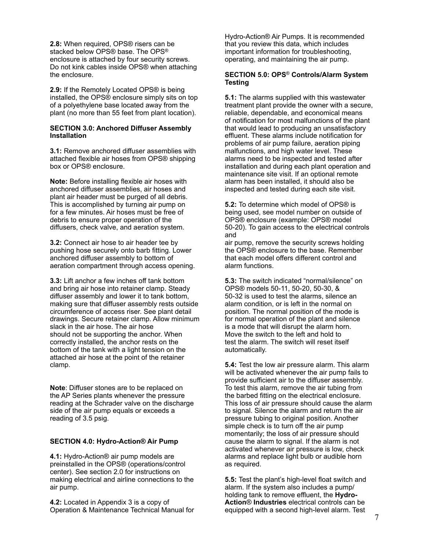**2.8:** When required, OPS® risers can be stacked below OPS® base. The OPS® enclosure is attached by four security screws. Do not kink cables inside OPS® when attaching the enclosure.

**2.9:** If the Remotely Located OPS® is being installed, the OPS® enclosure simply sits on top of a polyethylene base located away from the plant (no more than 55 feet from plant location).

#### **SECTION 3.0: Anchored Diffuser Assembly Installation**

**3.1:** Remove anchored diffuser assemblies with attached flexible air hoses from OPS® shipping box or OPS® enclosure.

**Note:** Before installing flexible air hoses with anchored diffuser assemblies, air hoses and plant air header must be purged of all debris. This is accomplished by turning air pump on for a few minutes. Air hoses must be free of debris to ensure proper operation of the diffusers, check valve, and aeration system.

**3.2:** Connect air hose to air header tee by pushing hose securely onto barb fitting. Lower anchored diffuser assembly to bottom of aeration compartment through access opening.

**3.3:** Lift anchor a few inches off tank bottom and bring air hose into retainer clamp. Steady diffuser assembly and lower it to tank bottom, making sure that diffuser assembly rests outside circumference of access riser. See plant detail drawings. Secure retainer clamp. Allow minimum slack in the air hose. The air hose should not be supporting the anchor. When correctly installed, the anchor rests on the bottom of the tank with a light tension on the attached air hose at the point of the retainer clamp.

**Note**: Diffuser stones are to be replaced on the AP Series plants whenever the pressure reading at the Schrader valve on the discharge side of the air pump equals or exceeds a reading of 3.5 psig.

#### **SECTION 4.0: Hydro-Action® Air Pump**

**4.1:** Hydro-Action® air pump models are preinstalled in the OPS® (operations/control center). See section 2.0 for instructions on making electrical and airline connections to the air pump.

**4.2:** Located in Appendix 3 is a copy of Operation & Maintenance Technical Manual for Hydro-Action® Air Pumps. It is recommended that you review this data, which includes important information for troubleshooting, operating, and maintaining the air pump.

#### **SECTION 5.0: OPS**® **Controls/Alarm System Testing**

**5.1:** The alarms supplied with this wastewater treatment plant provide the owner with a secure, reliable, dependable, and economical means of notification for most malfunctions of the plant that would lead to producing an unsatisfactory effluent. These alarms include notification for problems of air pump failure, aeration piping malfunctions, and high water level. These alarms need to be inspected and tested after installation and during each plant operation and maintenance site visit. If an optional remote alarm has been installed, it should also be inspected and tested during each site visit.

**5.2:** To determine which model of OPS® is being used, see model number on outside of OPS® enclosure (example: OPS® model 50-20). To gain access to the electrical controls and

air pump, remove the security screws holding the OPS® enclosure to the base. Remember that each model offers different control and alarm functions.

**5.3:** The switch indicated "normal/silence" on OPS® models 50-11, 50-20, 50-30, & 50-32 is used to test the alarms, silence an alarm condition, or is left in the normal on position. The normal position of the mode is for normal operation of the plant and silence is a mode that will disrupt the alarm horn. Move the switch to the left and hold to test the alarm. The switch will reset itself automatically.

**5.4:** Test the low air pressure alarm. This alarm will be activated whenever the air pump fails to provide sufficient air to the diffuser assembly. To test this alarm, remove the air tubing from the barbed fitting on the electrical enclosure. This loss of air pressure should cause the alarm to signal. Silence the alarm and return the air pressure tubing to original position. Another simple check is to turn off the air pump momentarily; the loss of air pressure should cause the alarm to signal. If the alarm is not activated whenever air pressure is low, check alarms and replace light bulb or audible horn as required.

**5.5:** Test the plant's high-level float switch and alarm. If the system also includes a pump/ holding tank to remove effluent, the **Hydro-Action**® **Industries** electrical controls can be equipped with a second high-level alarm. Test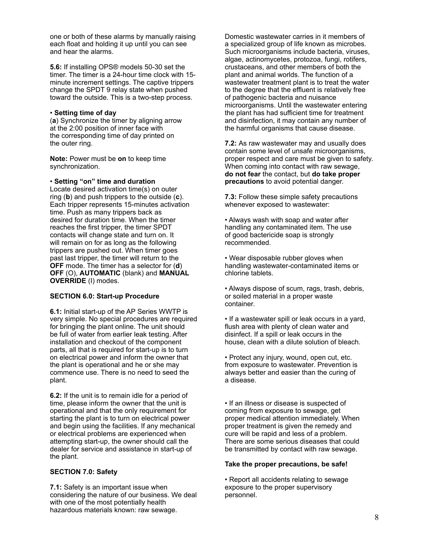one or both of these alarms by manually raising each float and holding it up until you can see and hear the alarms.

**5.6:** If installing OPS® models 50-30 set the timer. The timer is a 24-hour time clock with 15 minute increment settings. The captive trippers change the SPDT 9 relay state when pushed toward the outside. This is a two-step process.

#### • **Setting time of day**

(**a**) Synchronize the timer by aligning arrow at the 2:00 position of inner face with the corresponding time of day printed on the outer ring.

**Note:** Power must be **on** to keep time synchronization.

#### • **Setting "on" time and duration**

Locate desired activation time(s) on outer ring (**b**) and push trippers to the outside (**c**). Each tripper represents 15-minutes activation time. Push as many trippers back as desired for duration time. When the timer reaches the first tripper, the timer SPDT contacts will change state and turn on. It will remain on for as long as the following trippers are pushed out. When timer goes past last tripper, the timer will return to the **OFF** mode. The timer has a selector for (**d**) **OFF** (O), **AUTOMATIC** (blank) and **MANUAL OVERRIDE** (I) modes.

#### **SECTION 6.0: Start-up Procedure**

**6.1:** Initial start-up of the AP Series WWTP is very simple. No special procedures are required for bringing the plant online. The unit should be full of water from earlier leak testing. After installation and checkout of the component parts, all that is required for start-up is to turn on electrical power and inform the owner that the plant is operational and he or she may commence use. There is no need to seed the plant.

**6.2:** If the unit is to remain idle for a period of time, please inform the owner that the unit is operational and that the only requirement for starting the plant is to turn on electrical power and begin using the facilities. If any mechanical or electrical problems are experienced when attempting start-up, the owner should call the dealer for service and assistance in start-up of the plant.

#### **SECTION 7.0: Safety**

**7.1:** Safety is an important issue when considering the nature of our business. We deal with one of the most potentially health hazardous materials known: raw sewage.

Domestic wastewater carries in it members of a specialized group of life known as microbes. Such microorganisms include bacteria, viruses, algae, actinomycetes, protozoa, fungi, rotifers, crustaceans, and other members of both the plant and animal worlds. The function of a wastewater treatment plant is to treat the water to the degree that the effluent is relatively free of pathogenic bacteria and nuisance microorganisms. Until the wastewater entering the plant has had sufficient time for treatment and disinfection, it may contain any number of the harmful organisms that cause disease.

**7.2:** As raw wastewater may and usually does contain some level of unsafe microorganisms, proper respect and care must be given to safety. When coming into contact with raw sewage, **do not fear** the contact, but **do take proper precautions** to avoid potential danger.

**7.3:** Follow these simple safety precautions whenever exposed to wastewater:

• Always wash with soap and water after handling any contaminated item. The use of good bactericide soap is strongly recommended.

• Wear disposable rubber gloves when handling wastewater-contaminated items or chlorine tablets.

• Always dispose of scum, rags, trash, debris, or soiled material in a proper waste container.

• If a wastewater spill or leak occurs in a yard, flush area with plenty of clean water and disinfect. If a spill or leak occurs in the house, clean with a dilute solution of bleach.

• Protect any injury, wound, open cut, etc. from exposure to wastewater. Prevention is always better and easier than the curing of a disease.

• If an illness or disease is suspected of coming from exposure to sewage, get proper medical attention immediately. When proper treatment is given the remedy and cure will be rapid and less of a problem. There are some serious diseases that could be transmitted by contact with raw sewage.

#### **Take the proper precautions, be safe!**

• Report all accidents relating to sewage exposure to the proper supervisory personnel.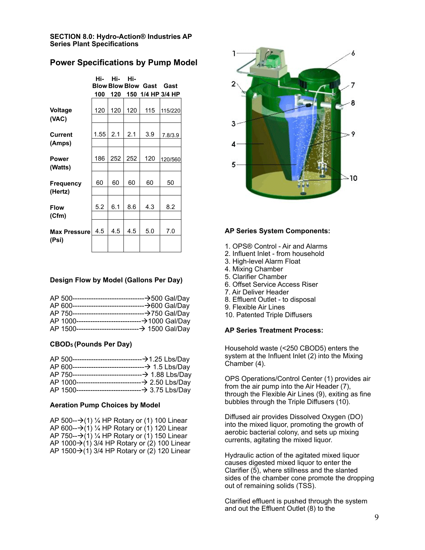#### **SECTION 8.0: Hydro-Action® Industries AP Series Plant Specifications**

### **Power Specifications by Pump Model**

|                     | Hi-  | Hi- | Hi- |                            |                   |
|---------------------|------|-----|-----|----------------------------|-------------------|
|                     |      |     |     | <b>Blow Blow Blow Gast</b> | Gast              |
|                     | 100  | 120 |     |                            | 150 1/4 HP 3/4 HP |
|                     |      |     |     |                            |                   |
| <b>Voltage</b>      | 120  | 120 | 120 | 115                        | 115/220           |
| (VAC)               |      |     |     |                            |                   |
|                     |      |     |     |                            |                   |
| <b>Current</b>      | 1.55 | 2.1 | 2.1 | 3.9                        | 7.8/3.9           |
| (Amps)              |      |     |     |                            |                   |
|                     |      |     |     |                            |                   |
| <b>Power</b>        | 186  | 252 | 252 | 120                        | 120/560           |
| (Watts)             |      |     |     |                            |                   |
|                     |      |     |     |                            |                   |
| Frequency           | 60   | 60  | 60  | 60                         | 50                |
| (Hertz)             |      |     |     |                            |                   |
|                     |      |     |     |                            |                   |
| <b>Flow</b>         | 5.2  | 6.1 | 8.6 | 4.3                        | 8.2               |
| (Cfm)               |      |     |     |                            |                   |
|                     |      |     |     |                            |                   |
| <b>Max Pressure</b> | 4.5  | 4.5 | 4.5 | 5.0                        | 7.0               |
| (Psi)               |      |     |     |                            |                   |
|                     |      |     |     |                            |                   |

#### **Design Flow by Model (Gallons Per Day)**

#### **CBOD5 (Pounds Per Day)**

#### **Aeration Pump Choices by Model**

| AP 500- $\rightarrow$ (1) ¼ HP Rotary or (1) 100 Linear   |
|-----------------------------------------------------------|
| AP 600- $\rightarrow$ (1) ¼ HP Rotary or (1) 120 Linear   |
| AP 750- $\rightarrow$ (1) ¼ HP Rotary or (1) 150 Linear   |
| AP 1000 $\rightarrow$ (1) 3/4 HP Rotary or (2) 100 Linear |
| AP 1500→(1) 3/4 HP Rotary or (2) 120 Linear               |



#### **AP Series System Components:**

- 1. OPS® Control Air and Alarms
- 2. Influent Inlet from household
- 3. High-level Alarm Float
- 4. Mixing Chamber
- 5. Clarifier Chamber
- 6. Offset Service Access Riser
- 7. Air Deliver Header
- 8. Effluent Outlet to disposal
- 9. Flexible Air Lines
- 10. Patented Triple Diffusers

#### **AP Series Treatment Process:**

Household waste (<250 CBOD5) enters the system at the Influent Inlet (2) into the Mixing Chamber (4).

OPS Operations/Control Center (1) provides air from the air pump into the Air Header (7), through the Flexible Air Lines (9), exiting as fine bubbles through the Triple Diffusers (10).

Diffused air provides Dissolved Oxygen (DO) into the mixed liquor, promoting the growth of aerobic bacterial colony, and sets up mixing currents, agitating the mixed liquor.

Hydraulic action of the agitated mixed liquor causes digested mixed liquor to enter the Clarifier (5), where stillness and the slanted sides of the chamber cone promote the dropping out of remaining solids (TSS).

Clarified effluent is pushed through the system and out the Effluent Outlet (8) to the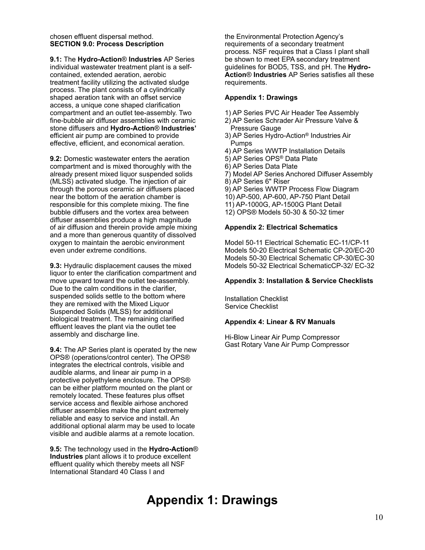#### chosen effluent dispersal method. **SECTION 9.0: Process Description**

**9.1:** The **Hydro-Action**® **Industries** AP Series individual wastewater treatment plant is a selfcontained, extended aeration, aerobic treatment facility utilizing the activated sludge process. The plant consists of a cylindrically shaped aeration tank with an offset service access, a unique cone shaped clarification compartment and an outlet tee-assembly. Two fine-bubble air diffuser assemblies with ceramic stone diffusers and **Hydro-Action**® **Industries'** efficient air pump are combined to provide effective, efficient, and economical aeration.

**9.2:** Domestic wastewater enters the aeration compartment and is mixed thoroughly with the already present mixed liquor suspended solids (MLSS) activated sludge. The injection of air through the porous ceramic air diffusers placed near the bottom of the aeration chamber is responsible for this complete mixing. The fine bubble diffusers and the vortex area between diffuser assemblies produce a high magnitude of air diffusion and therein provide ample mixing and a more than generous quantity of dissolved oxygen to maintain the aerobic environment even under extreme conditions.

**9.3:** Hydraulic displacement causes the mixed liquor to enter the clarification compartment and move upward toward the outlet tee-assembly. Due to the calm conditions in the clarifier, suspended solids settle to the bottom where they are remixed with the Mixed Liquor Suspended Solids (MLSS) for additional biological treatment. The remaining clarified effluent leaves the plant via the outlet tee assembly and discharge line.

**9.4:** The AP Series plant is operated by the new OPS® (operations/control center). The OPS® integrates the electrical controls, visible and audible alarms, and linear air pump in a protective polyethylene enclosure. The OPS® can be either platform mounted on the plant or remotely located. These features plus offset service access and flexible airhose anchored diffuser assemblies make the plant extremely reliable and easy to service and install. An additional optional alarm may be used to locate visible and audible alarms at a remote location.

**9.5:** The technology used in the **Hydro-Action**® **Industries** plant allows it to produce excellent effluent quality which thereby meets all NSF International Standard 40 Class I and

the Environmental Protection Agency's requirements of a secondary treatment process. NSF requires that a Class I plant shall be shown to meet EPA secondary treatment guidelines for BOD5, TSS, and pH. The **Hydro-Action**® **Industries** AP Series satisfies all these requirements.

#### **Appendix 1: Drawings**

1) AP Series PVC Air Header Tee Assembly

- 2) AP Series Schrader Air Pressure Valve & Pressure Gauge
- 3) AP Series Hydro-Action® Industries Air Pumps
- 4) AP Series WWTP Installation Details
- 5) AP Series OPS® Data Plate
- 6) AP Series Data Plate
- 7) Model AP Series Anchored Diffuser Assembly
- 8) AP Series 6" Riser
- 9) AP Series WWTP Process Flow Diagram
- 10) AP-500, AP-600, AP-750 Plant Detail
- 11) AP-1000G, AP-1500G Plant Detail
- 12) OPS® Models 50-30 & 50-32 timer

#### **Appendix 2: Electrical Schematics**

Model 50-11 Electrical Schematic EC-11/CP-11 Models 50-20 Electrical Schematic CP-20/EC-20 Models 50-30 Electrical Schematic CP-30/EC-30 Models 50-32 Electrical SchematicCP-32/ EC-32

#### **Appendix 3: Installation & Service Checklists**

Installation Checklist Service Checklist

#### **Appendix 4: Linear & RV Manuals**

Hi-Blow Linear Air Pump Compressor Gast Rotary Vane Air Pump Compressor

## **Appendix 1: Drawings**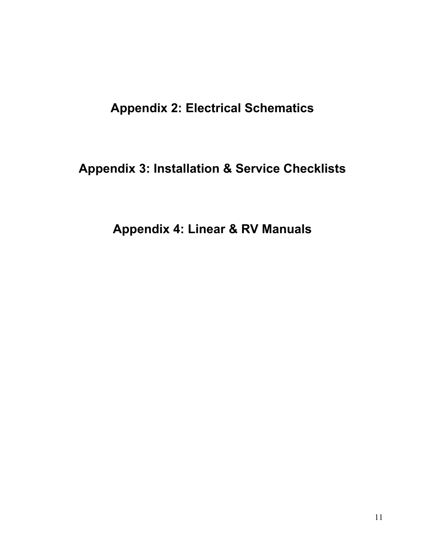## **Appendix 2: Electrical Schematics**

# **Appendix 3: Installation & Service Checklists**

# **Appendix 4: Linear & RV Manuals**